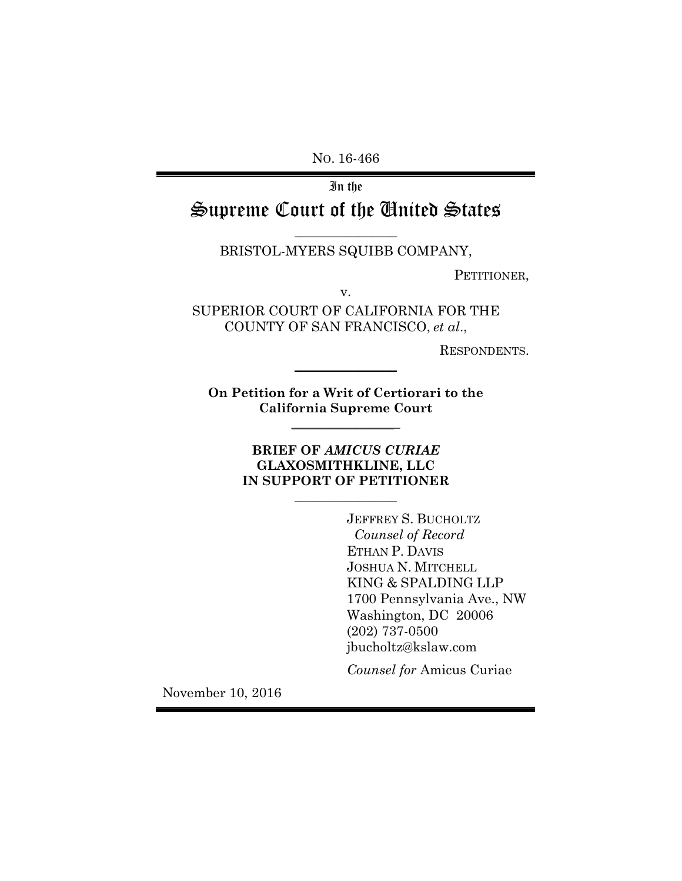NO. 16-466

In the Supreme Court of the United States

#### BRISTOL-MYERS SQUIBB COMPANY,

PETITIONER,

v.

SUPERIOR COURT OF CALIFORNIA FOR THE COUNTY OF SAN FRANCISCO, *et al*.,

RESPONDENTS.

**On Petition for a Writ of Certiorari to the California Supreme Court**  \_\_\_\_\_\_\_\_\_\_\_\_\_\_\_\_\_

 $\frac{1}{2}$ 

## **BRIEF OF** *AMICUS CURIAE* **GLAXOSMITHKLINE, LLC IN SUPPORT OF PETITIONER**

 $\overline{\phantom{a}}$  , where  $\overline{\phantom{a}}$ 

JEFFREY S. BUCHOLTZ *Counsel of Record*  ETHAN P. DAVIS JOSHUA N. MITCHELL KING & SPALDING LLP 1700 Pennsylvania Ave., NW Washington, DC 20006 (202) 737-0500 jbucholtz@kslaw.com

*Counsel for* Amicus Curiae

November 10, 2016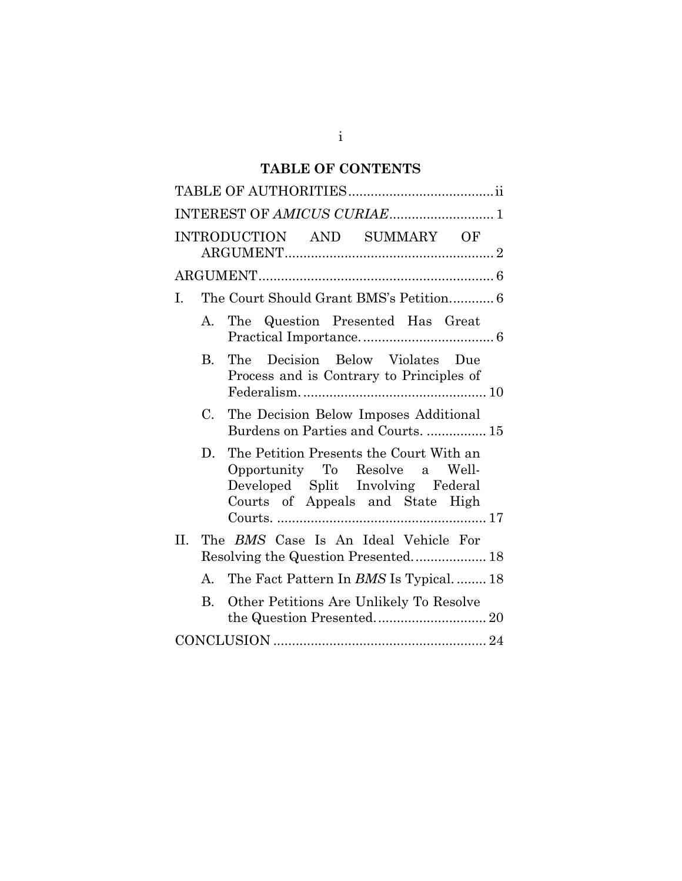# **TABLE OF CONTENTS**

| INTEREST OF AMICUS CURIAE 1                                                                                                                              |
|----------------------------------------------------------------------------------------------------------------------------------------------------------|
| INTRODUCTION AND SUMMARY OF                                                                                                                              |
|                                                                                                                                                          |
| The Court Should Grant BMS's Petition 6<br>I.                                                                                                            |
| A. The Question Presented Has Great                                                                                                                      |
| Decision Below Violates Due<br>The<br>В.<br>Process and is Contrary to Principles of                                                                     |
| C.<br>The Decision Below Imposes Additional<br>Burdens on Parties and Courts.  15                                                                        |
| The Petition Presents the Court With an<br>D.<br>Opportunity To Resolve a Well-<br>Developed Split Involving Federal<br>Courts of Appeals and State High |
| The BMS Case Is An Ideal Vehicle For<br>П.<br>Resolving the Question Presented 18                                                                        |
| A. The Fact Pattern In BMS Is Typical 18                                                                                                                 |
| Other Petitions Are Unlikely To Resolve<br>B.                                                                                                            |
|                                                                                                                                                          |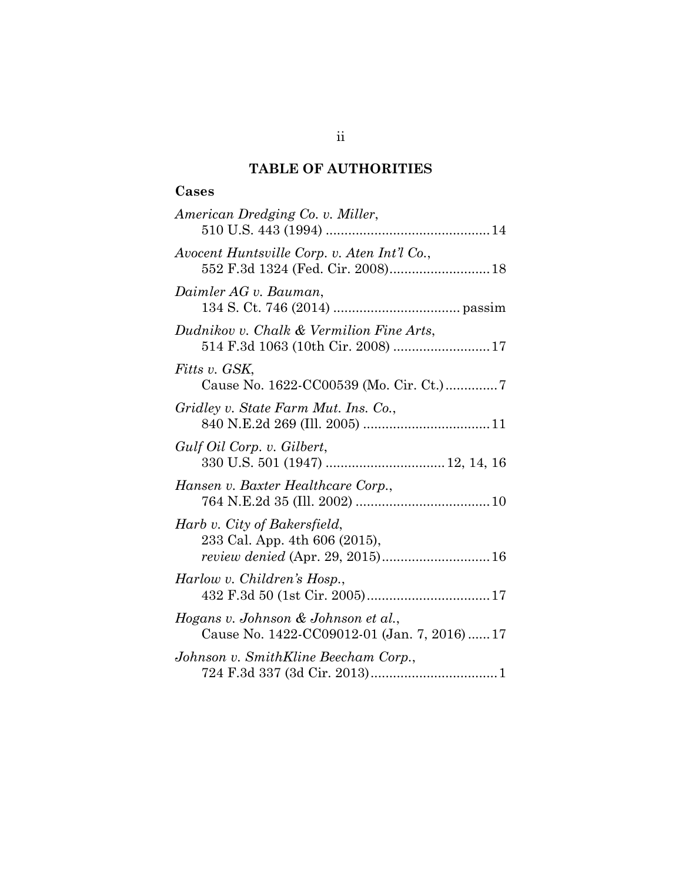## **TABLE OF AUTHORITIES**

## **Cases**

| American Dredging Co. v. Miller,                                                  |
|-----------------------------------------------------------------------------------|
| Avocent Huntsville Corp. v. Aten Int'l Co.,                                       |
| Daimler AG v. Bauman,                                                             |
| Dudnikov v. Chalk & Vermilion Fine Arts,<br>514 F.3d 1063 (10th Cir. 2008)  17    |
| Fitts v. GSK,                                                                     |
| Gridley v. State Farm Mut. Ins. Co.,                                              |
| Gulf Oil Corp. v. Gilbert,<br>330 U.S. 501 (1947)  12, 14, 16                     |
| Hansen v. Baxter Healthcare Corp.,                                                |
| Harb v. City of Bakersfield,<br>233 Cal. App. 4th 606 (2015),                     |
| Harlow v. Children's Hosp.,                                                       |
| Hogans v. Johnson & Johnson et al.,<br>Cause No. 1422-CC09012-01 (Jan. 7, 2016)17 |
| Johnson v. SmithKline Beecham Corp.,                                              |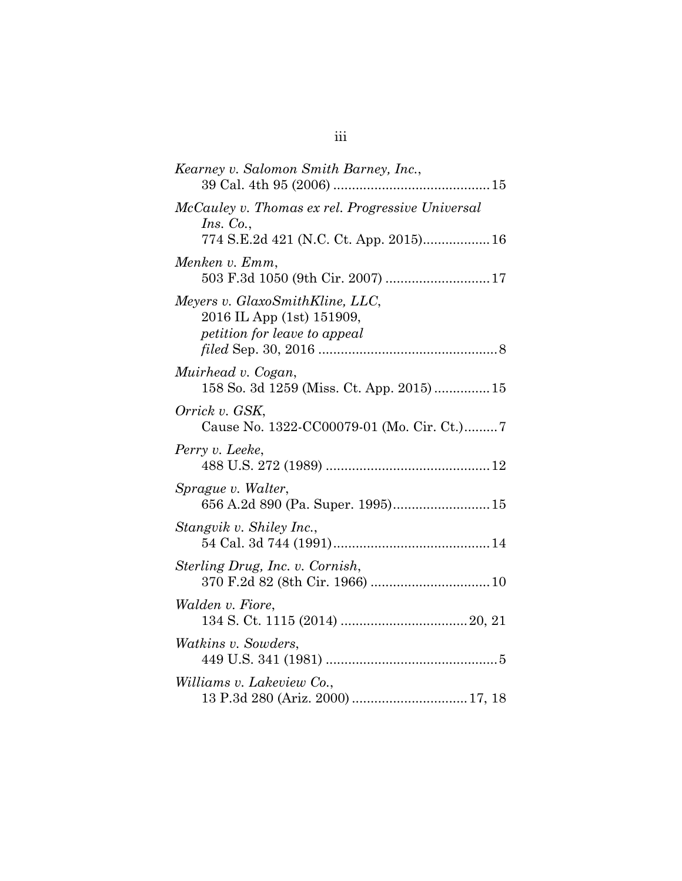| Kearney v. Salomon Smith Barney, Inc.,                                                       |
|----------------------------------------------------------------------------------------------|
| McCauley v. Thomas ex rel. Progressive Universal<br>Ins. Co.,                                |
| Menken v. Emm,<br>503 F.3d 1050 (9th Cir. 2007)  17                                          |
| Meyers v. GlaxoSmithKline, LLC,<br>2016 IL App (1st) 151909,<br>petition for leave to appeal |
| Muirhead v. Cogan,<br>158 So. 3d 1259 (Miss. Ct. App. 2015)15                                |
| Orrick v. GSK,<br>Cause No. 1322-CC00079-01 (Mo. Cir. Ct.)7                                  |
| Perry v. Leeke,                                                                              |
| Sprague v. Walter,<br>656 A.2d 890 (Pa. Super. 1995) 15                                      |
| Stangvik v. Shiley Inc.,                                                                     |
| Sterling Drug, Inc. v. Cornish,                                                              |
| <i>Walden v. Fiore,</i>                                                                      |
| Watkins v. Sowders,                                                                          |
| Williams v. Lakeview Co.,                                                                    |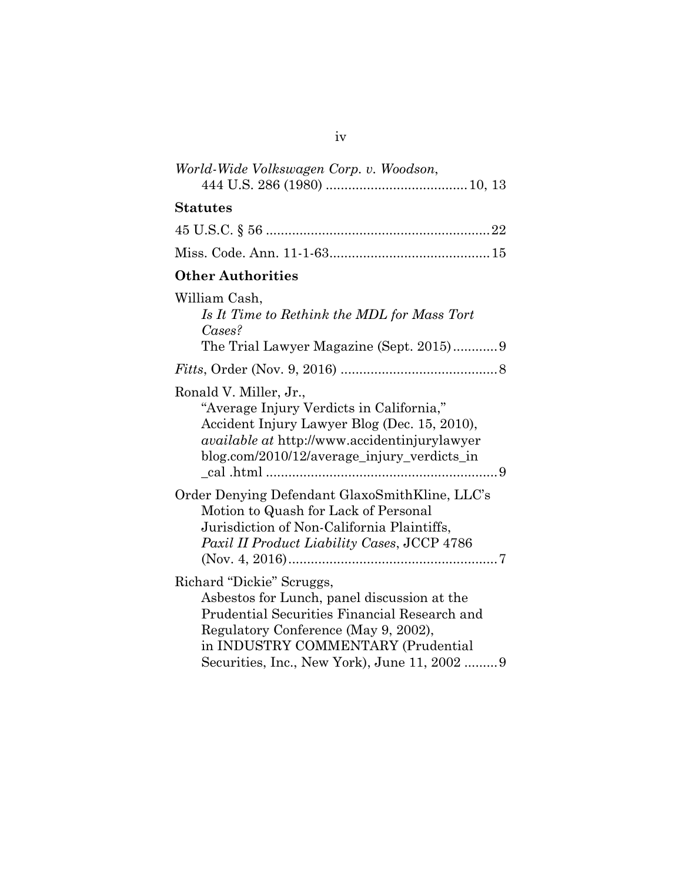| World-Wide Volkswagen Corp. v. Woodson,                                                                                                                                                                                                                 |
|---------------------------------------------------------------------------------------------------------------------------------------------------------------------------------------------------------------------------------------------------------|
| <b>Statutes</b>                                                                                                                                                                                                                                         |
|                                                                                                                                                                                                                                                         |
|                                                                                                                                                                                                                                                         |
| <b>Other Authorities</b>                                                                                                                                                                                                                                |
| William Cash,<br>Is It Time to Rethink the MDL for Mass Tort<br>$\mathbb{C}$ ases?<br>The Trial Lawyer Magazine (Sept. 2015)9                                                                                                                           |
|                                                                                                                                                                                                                                                         |
| Ronald V. Miller, Jr.,<br>"Average Injury Verdicts in California,"<br>Accident Injury Lawyer Blog (Dec. 15, 2010),<br><i>available at http://www.accidentinjurylawyer</i><br>blog.com/2010/12/average_injury_verdicts_in                                |
| Order Denying Defendant GlaxoSmithKline, LLC's<br>Motion to Quash for Lack of Personal<br>Jurisdiction of Non-California Plaintiffs,<br>Paxil II Product Liability Cases, JCCP 4786                                                                     |
| Richard "Dickie" Scruggs,<br>Asbestos for Lunch, panel discussion at the<br>Prudential Securities Financial Research and<br>Regulatory Conference (May 9, 2002),<br>in INDUSTRY COMMENTARY (Prudential<br>Securities, Inc., New York), June 11, 2002  9 |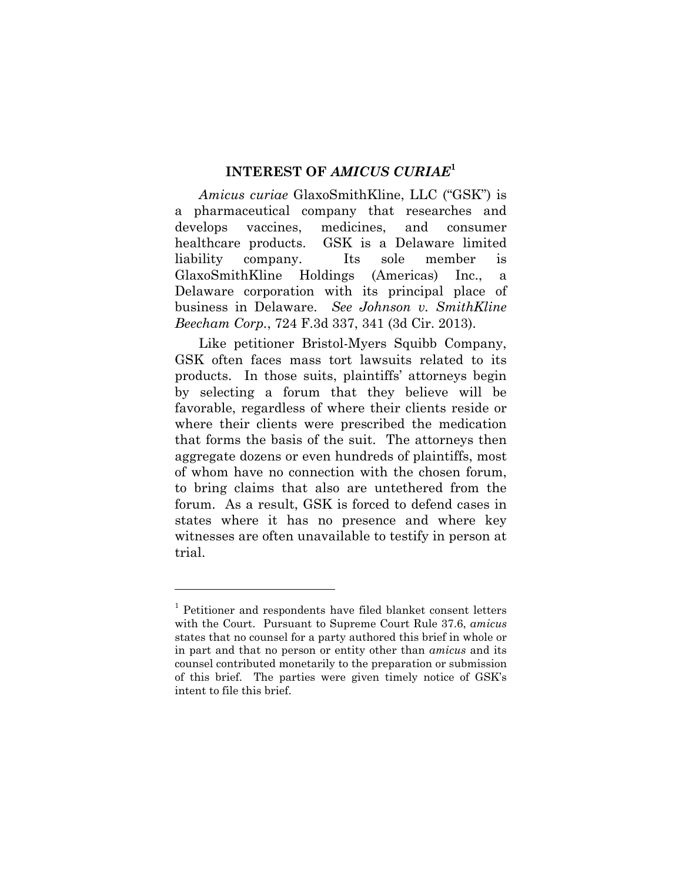### **INTEREST OF** *AMICUS CURIAE***<sup>1</sup>**

*Amicus curiae* GlaxoSmithKline, LLC ("GSK") is a pharmaceutical company that researches and develops vaccines, medicines, and consumer healthcare products. GSK is a Delaware limited liability company. Its sole member is GlaxoSmithKline Holdings (Americas) Inc., a Delaware corporation with its principal place of business in Delaware. *See Johnson v. SmithKline Beecham Corp.*, 724 F.3d 337, 341 (3d Cir. 2013).

Like petitioner Bristol-Myers Squibb Company, GSK often faces mass tort lawsuits related to its products. In those suits, plaintiffs' attorneys begin by selecting a forum that they believe will be favorable, regardless of where their clients reside or where their clients were prescribed the medication that forms the basis of the suit. The attorneys then aggregate dozens or even hundreds of plaintiffs, most of whom have no connection with the chosen forum, to bring claims that also are untethered from the forum. As a result, GSK is forced to defend cases in states where it has no presence and where key witnesses are often unavailable to testify in person at trial.

1

<sup>&</sup>lt;sup>1</sup> Petitioner and respondents have filed blanket consent letters with the Court. Pursuant to Supreme Court Rule 37.6, *amicus* states that no counsel for a party authored this brief in whole or in part and that no person or entity other than *amicus* and its counsel contributed monetarily to the preparation or submission of this brief. The parties were given timely notice of GSK's intent to file this brief.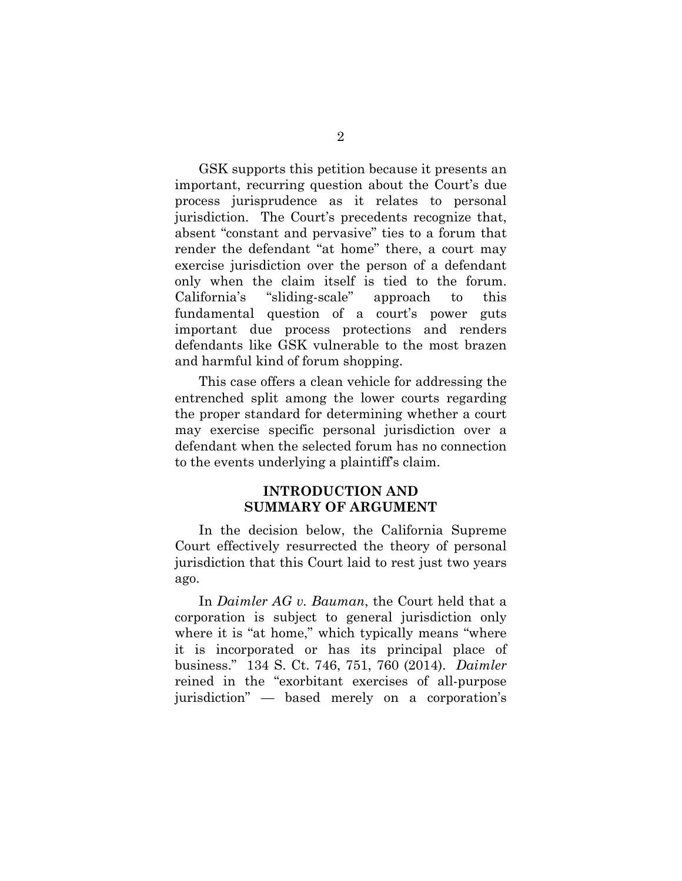GSK supports this petition because it presents an important, recurring question about the Court's due process jurisprudence as it relates to personal jurisdiction. The Court's precedents recognize that, absent "constant and pervasive" ties to a forum that render the defendant "at home" there, a court may exercise jurisdiction over the person of a defendant only when the claim itself is tied to the forum. California's "sliding-scale" approach to this fundamental question of a court's power guts important due process protections and renders defendants like GSK vulnerable to the most brazen and harmful kind of forum shopping.

This case offers a clean vehicle for addressing the entrenched split among the lower courts regarding the proper standard for determining whether a court may exercise specific personal jurisdiction over a defendant when the selected forum has no connection to the events underlying a plaintiff's claim.

## **INTRODUCTION AND SUMMARY OF ARGUMENT**

In the decision below, the California Supreme Court effectively resurrected the theory of personal jurisdiction that this Court laid to rest just two years ago.

In *Daimler AG v. Bauman*, the Court held that a corporation is subject to general jurisdiction only where it is "at home," which typically means "where it is incorporated or has its principal place of business." 134 S. Ct. 746, 751, 760 (2014). *Daimler*  reined in the "exorbitant exercises of all-purpose jurisdiction" — based merely on a corporation's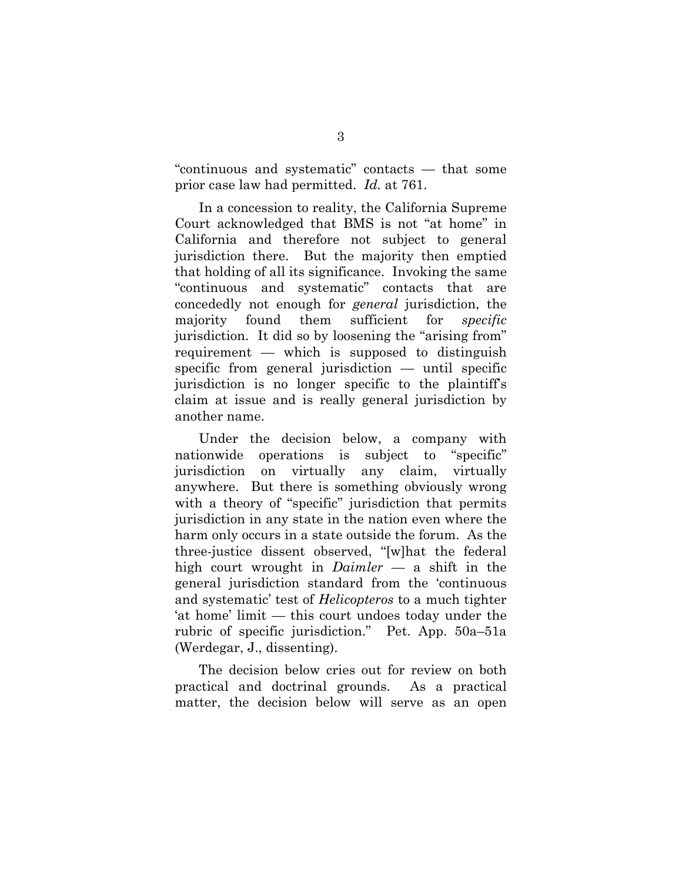"continuous and systematic" contacts — that some prior case law had permitted. *Id.* at 761.

In a concession to reality, the California Supreme Court acknowledged that BMS is not "at home" in California and therefore not subject to general jurisdiction there. But the majority then emptied that holding of all its significance. Invoking the same "continuous and systematic" contacts that are concededly not enough for *general* jurisdiction, the majority found them sufficient for *specific*  jurisdiction. It did so by loosening the "arising from" requirement — which is supposed to distinguish specific from general jurisdiction — until specific jurisdiction is no longer specific to the plaintiff's claim at issue and is really general jurisdiction by another name.

Under the decision below, a company with nationwide operations is subject to "specific" jurisdiction on virtually any claim, virtually anywhere. But there is something obviously wrong with a theory of "specific" jurisdiction that permits jurisdiction in any state in the nation even where the harm only occurs in a state outside the forum. As the three-justice dissent observed, "[w]hat the federal high court wrought in *Daimler* — a shift in the general jurisdiction standard from the 'continuous and systematic' test of *Helicopteros* to a much tighter 'at home' limit — this court undoes today under the rubric of specific jurisdiction." Pet. App. 50a–51a (Werdegar, J., dissenting).

The decision below cries out for review on both practical and doctrinal grounds. As a practical matter, the decision below will serve as an open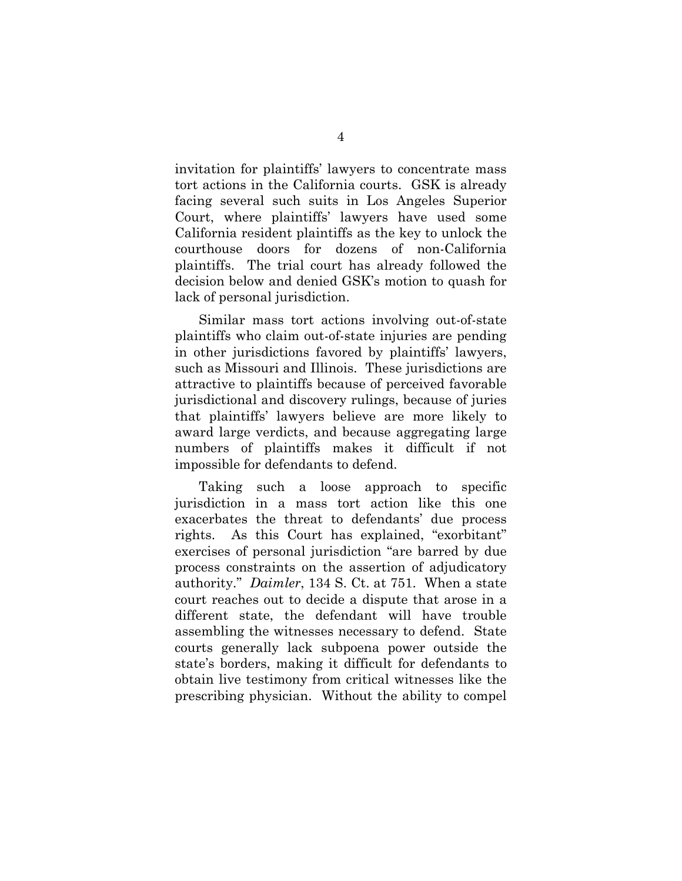invitation for plaintiffs' lawyers to concentrate mass tort actions in the California courts. GSK is already facing several such suits in Los Angeles Superior Court, where plaintiffs' lawyers have used some California resident plaintiffs as the key to unlock the courthouse doors for dozens of non-California plaintiffs. The trial court has already followed the decision below and denied GSK's motion to quash for lack of personal jurisdiction.

Similar mass tort actions involving out-of-state plaintiffs who claim out-of-state injuries are pending in other jurisdictions favored by plaintiffs' lawyers, such as Missouri and Illinois. These jurisdictions are attractive to plaintiffs because of perceived favorable jurisdictional and discovery rulings, because of juries that plaintiffs' lawyers believe are more likely to award large verdicts, and because aggregating large numbers of plaintiffs makes it difficult if not impossible for defendants to defend.

Taking such a loose approach to specific jurisdiction in a mass tort action like this one exacerbates the threat to defendants' due process rights. As this Court has explained, "exorbitant" exercises of personal jurisdiction "are barred by due process constraints on the assertion of adjudicatory authority." *Daimler*, 134 S. Ct. at 751. When a state court reaches out to decide a dispute that arose in a different state, the defendant will have trouble assembling the witnesses necessary to defend. State courts generally lack subpoena power outside the state's borders, making it difficult for defendants to obtain live testimony from critical witnesses like the prescribing physician. Without the ability to compel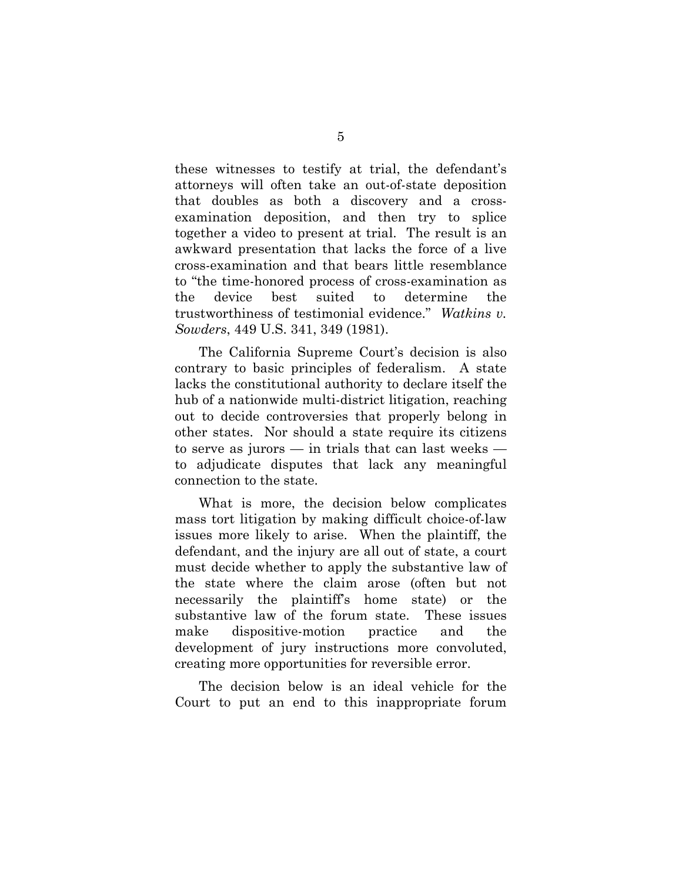these witnesses to testify at trial, the defendant's attorneys will often take an out-of-state deposition that doubles as both a discovery and a crossexamination deposition, and then try to splice together a video to present at trial. The result is an awkward presentation that lacks the force of a live cross-examination and that bears little resemblance to "the time-honored process of cross-examination as the device best suited to determine the trustworthiness of testimonial evidence." *Watkins v. Sowders*, 449 U.S. 341, 349 (1981).

The California Supreme Court's decision is also contrary to basic principles of federalism. A state lacks the constitutional authority to declare itself the hub of a nationwide multi-district litigation, reaching out to decide controversies that properly belong in other states. Nor should a state require its citizens to serve as jurors — in trials that can last weeks to adjudicate disputes that lack any meaningful connection to the state.

What is more, the decision below complicates mass tort litigation by making difficult choice-of-law issues more likely to arise. When the plaintiff, the defendant, and the injury are all out of state, a court must decide whether to apply the substantive law of the state where the claim arose (often but not necessarily the plaintiff's home state) or the substantive law of the forum state. These issues make dispositive-motion practice and the development of jury instructions more convoluted, creating more opportunities for reversible error.

The decision below is an ideal vehicle for the Court to put an end to this inappropriate forum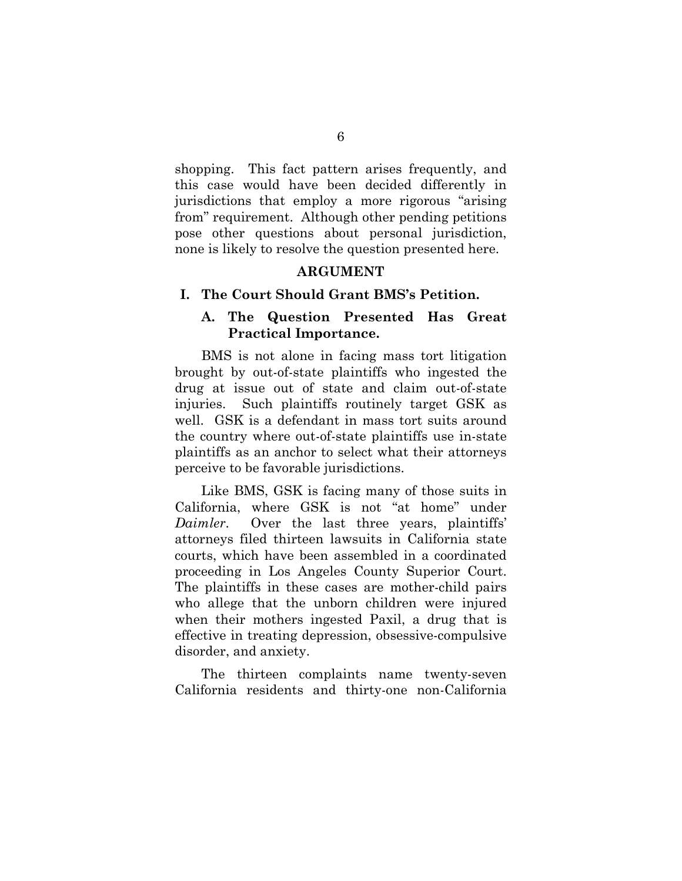shopping. This fact pattern arises frequently, and this case would have been decided differently in jurisdictions that employ a more rigorous "arising from" requirement. Although other pending petitions pose other questions about personal jurisdiction, none is likely to resolve the question presented here.

### **ARGUMENT**

#### **I. The Court Should Grant BMS's Petition.**

### **A. The Question Presented Has Great Practical Importance.**

BMS is not alone in facing mass tort litigation brought by out-of-state plaintiffs who ingested the drug at issue out of state and claim out-of-state injuries. Such plaintiffs routinely target GSK as well. GSK is a defendant in mass tort suits around the country where out-of-state plaintiffs use in-state plaintiffs as an anchor to select what their attorneys perceive to be favorable jurisdictions.

Like BMS, GSK is facing many of those suits in California, where GSK is not "at home" under *Daimler*. Over the last three years, plaintiffs' attorneys filed thirteen lawsuits in California state courts, which have been assembled in a coordinated proceeding in Los Angeles County Superior Court. The plaintiffs in these cases are mother-child pairs who allege that the unborn children were injured when their mothers ingested Paxil, a drug that is effective in treating depression, obsessive-compulsive disorder, and anxiety.

The thirteen complaints name twenty-seven California residents and thirty-one non-California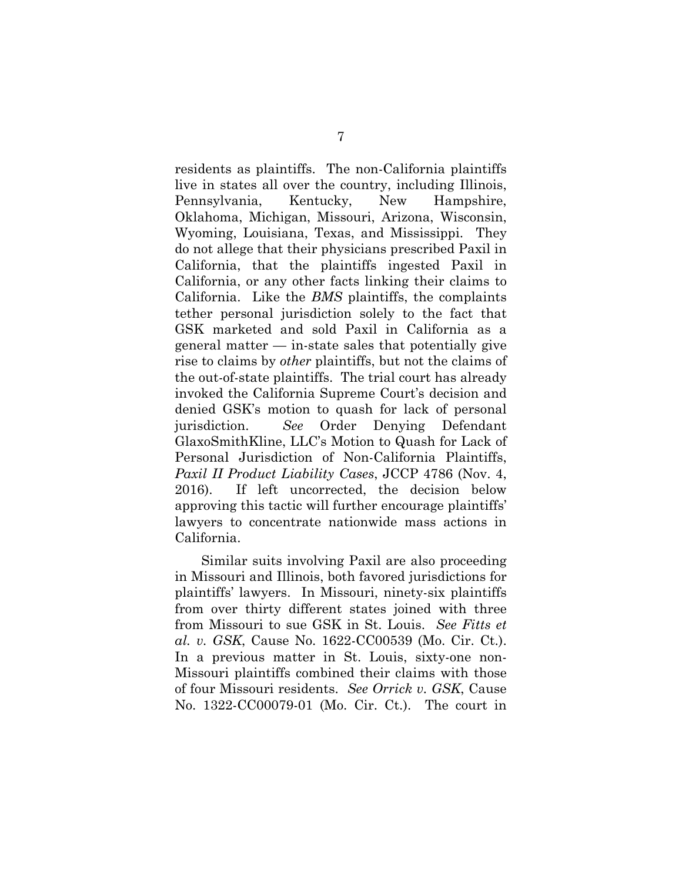residents as plaintiffs. The non-California plaintiffs live in states all over the country, including Illinois, Pennsylvania, Kentucky, New Hampshire, Oklahoma, Michigan, Missouri, Arizona, Wisconsin, Wyoming, Louisiana, Texas, and Mississippi. They do not allege that their physicians prescribed Paxil in California, that the plaintiffs ingested Paxil in California, or any other facts linking their claims to California. Like the *BMS* plaintiffs, the complaints tether personal jurisdiction solely to the fact that GSK marketed and sold Paxil in California as a  $general matter — in-state sales that potentially give$ rise to claims by *other* plaintiffs, but not the claims of the out-of-state plaintiffs. The trial court has already invoked the California Supreme Court's decision and denied GSK's motion to quash for lack of personal jurisdiction. *See* Order Denying Defendant GlaxoSmithKline, LLC's Motion to Quash for Lack of Personal Jurisdiction of Non-California Plaintiffs, *Paxil II Product Liability Cases*, JCCP 4786 (Nov. 4, 2016). If left uncorrected, the decision below approving this tactic will further encourage plaintiffs' lawyers to concentrate nationwide mass actions in California.

Similar suits involving Paxil are also proceeding in Missouri and Illinois, both favored jurisdictions for plaintiffs' lawyers. In Missouri, ninety-six plaintiffs from over thirty different states joined with three from Missouri to sue GSK in St. Louis. *See Fitts et al. v. GSK*, Cause No. 1622-CC00539 (Mo. Cir. Ct.). In a previous matter in St. Louis, sixty-one non-Missouri plaintiffs combined their claims with those of four Missouri residents. *See Orrick v. GSK*, Cause No. 1322-CC00079-01 (Mo. Cir. Ct.). The court in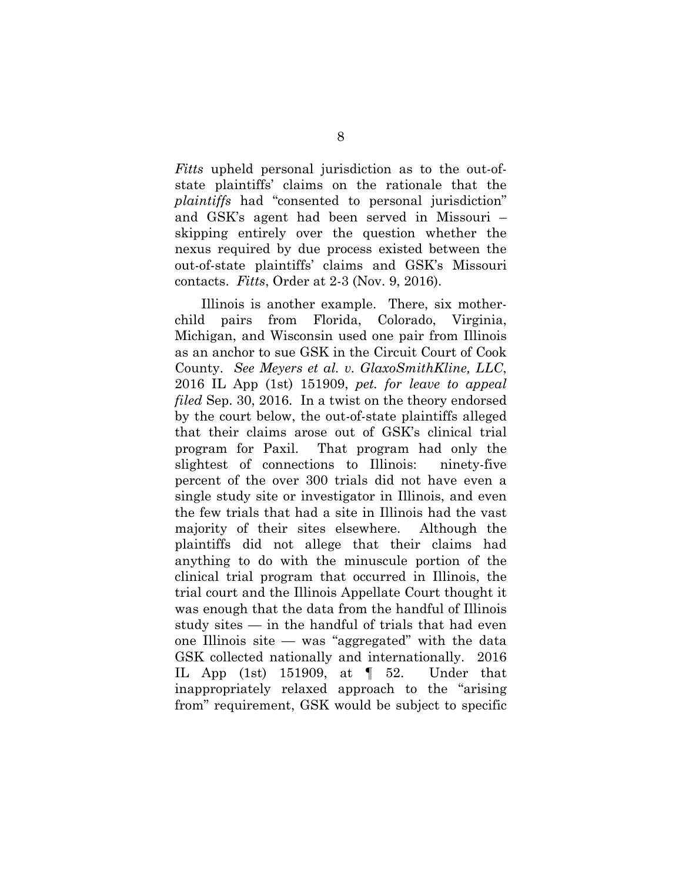*Fitts* upheld personal jurisdiction as to the out-ofstate plaintiffs' claims on the rationale that the *plaintiffs* had "consented to personal jurisdiction" and GSK's agent had been served in Missouri – skipping entirely over the question whether the nexus required by due process existed between the out-of-state plaintiffs' claims and GSK's Missouri contacts. *Fitts*, Order at 2-3 (Nov. 9, 2016).

Illinois is another example. There, six motherchild pairs from Florida, Colorado, Virginia, Michigan, and Wisconsin used one pair from Illinois as an anchor to sue GSK in the Circuit Court of Cook County. *See Meyers et al. v. GlaxoSmithKline, LLC*, 2016 IL App (1st) 151909, *pet. for leave to appeal filed* Sep. 30, 2016. In a twist on the theory endorsed by the court below, the out-of-state plaintiffs alleged that their claims arose out of GSK's clinical trial program for Paxil. That program had only the slightest of connections to Illinois: ninety-five percent of the over 300 trials did not have even a single study site or investigator in Illinois, and even the few trials that had a site in Illinois had the vast majority of their sites elsewhere. Although the plaintiffs did not allege that their claims had anything to do with the minuscule portion of the clinical trial program that occurred in Illinois, the trial court and the Illinois Appellate Court thought it was enough that the data from the handful of Illinois study sites — in the handful of trials that had even one Illinois site — was "aggregated" with the data GSK collected nationally and internationally. 2016 IL App (1st) 151909, at  $\parallel$  52. Under that inappropriately relaxed approach to the "arising from" requirement, GSK would be subject to specific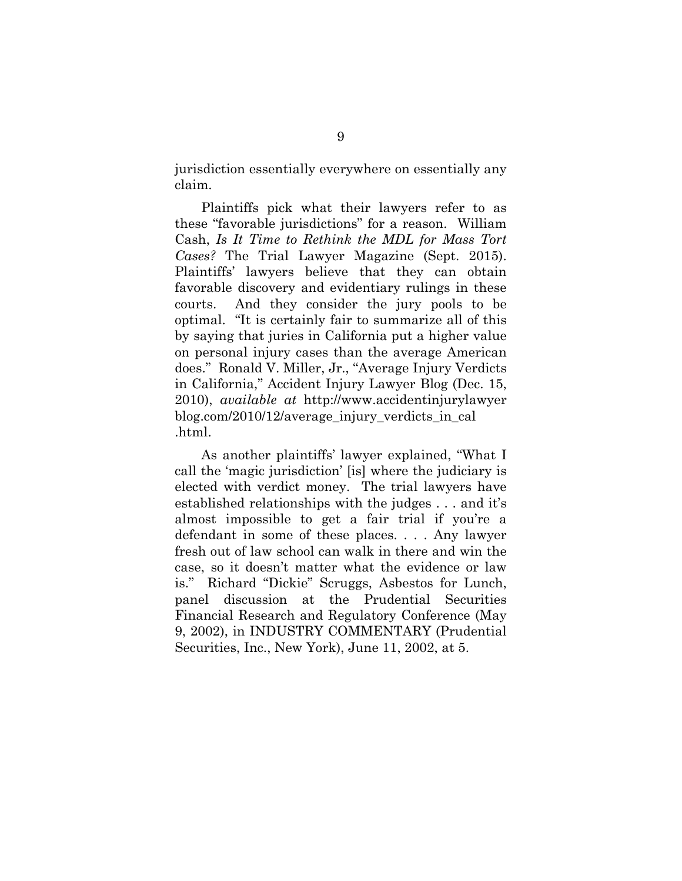jurisdiction essentially everywhere on essentially any claim.

Plaintiffs pick what their lawyers refer to as these "favorable jurisdictions" for a reason. William Cash, *Is It Time to Rethink the MDL for Mass Tort Cases?* The Trial Lawyer Magazine (Sept. 2015). Plaintiffs' lawyers believe that they can obtain favorable discovery and evidentiary rulings in these courts. And they consider the jury pools to be optimal. "It is certainly fair to summarize all of this by saying that juries in California put a higher value on personal injury cases than the average American does." Ronald V. Miller, Jr., "Average Injury Verdicts in California," Accident Injury Lawyer Blog (Dec. 15, 2010), *available at* http://www.accidentinjurylawyer blog.com/2010/12/average\_injury\_verdicts\_in\_cal .html.

As another plaintiffs' lawyer explained, "What I call the 'magic jurisdiction' [is] where the judiciary is elected with verdict money. The trial lawyers have established relationships with the judges . . . and it's almost impossible to get a fair trial if you're a defendant in some of these places. . . . Any lawyer fresh out of law school can walk in there and win the case, so it doesn't matter what the evidence or law is." Richard "Dickie" Scruggs, Asbestos for Lunch, panel discussion at the Prudential Securities Financial Research and Regulatory Conference (May 9, 2002), in INDUSTRY COMMENTARY (Prudential Securities, Inc., New York), June 11, 2002, at 5.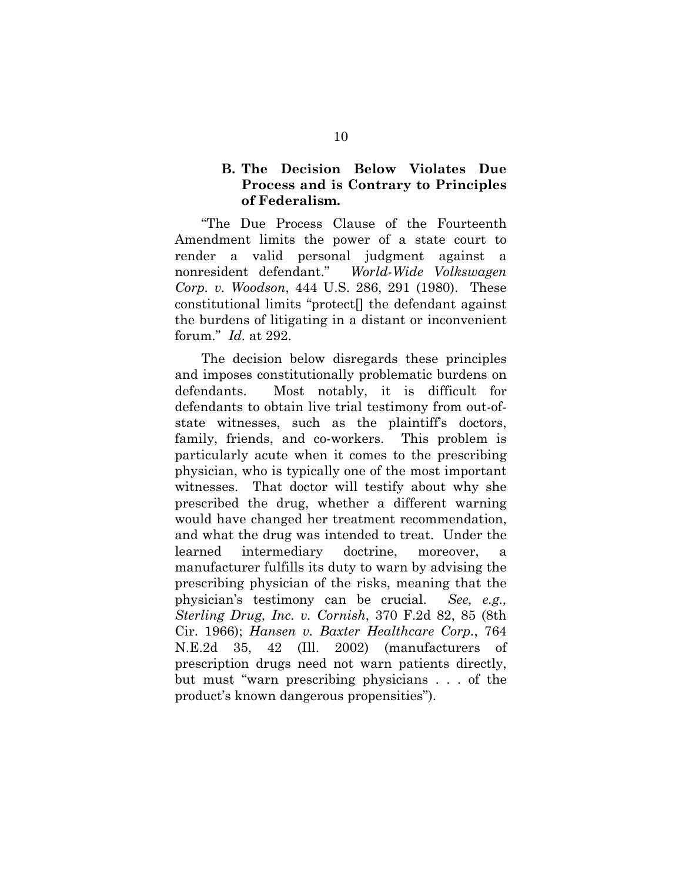## **B. The Decision Below Violates Due Process and is Contrary to Principles of Federalism.**

"The Due Process Clause of the Fourteenth Amendment limits the power of a state court to render a valid personal judgment against a nonresident defendant." *World-Wide Volkswagen Corp. v. Woodson*, 444 U.S. 286, 291 (1980). These constitutional limits "protect[] the defendant against the burdens of litigating in a distant or inconvenient forum." *Id.* at 292.

The decision below disregards these principles and imposes constitutionally problematic burdens on defendants. Most notably, it is difficult for defendants to obtain live trial testimony from out-ofstate witnesses, such as the plaintiff's doctors, family, friends, and co-workers. This problem is particularly acute when it comes to the prescribing physician, who is typically one of the most important witnesses. That doctor will testify about why she prescribed the drug, whether a different warning would have changed her treatment recommendation, and what the drug was intended to treat. Under the learned intermediary doctrine, moreover, manufacturer fulfills its duty to warn by advising the prescribing physician of the risks, meaning that the physician's testimony can be crucial. *See, e.g., Sterling Drug, Inc. v. Cornish*, 370 F.2d 82, 85 (8th Cir. 1966); *Hansen v. Baxter Healthcare Corp.*, 764 N.E.2d 35, 42 (Ill. 2002) (manufacturers of prescription drugs need not warn patients directly, but must "warn prescribing physicians . . . of the product's known dangerous propensities").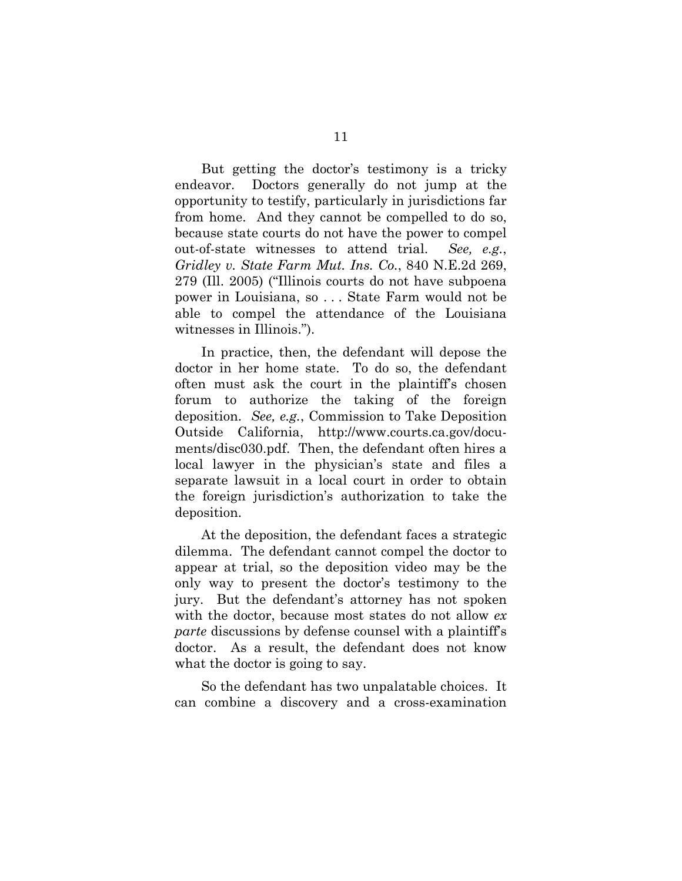But getting the doctor's testimony is a tricky endeavor. Doctors generally do not jump at the opportunity to testify, particularly in jurisdictions far from home. And they cannot be compelled to do so, because state courts do not have the power to compel out-of-state witnesses to attend trial. *See, e.g.*, *Gridley v. State Farm Mut. Ins. Co.*, 840 N.E.2d 269, 279 (Ill. 2005) ("Illinois courts do not have subpoena power in Louisiana, so . . . State Farm would not be able to compel the attendance of the Louisiana witnesses in Illinois.").

In practice, then, the defendant will depose the doctor in her home state. To do so, the defendant often must ask the court in the plaintiff's chosen forum to authorize the taking of the foreign deposition. *See, e.g.*, Commission to Take Deposition Outside California, http://www.courts.ca.gov/documents/disc030.pdf. Then, the defendant often hires a local lawyer in the physician's state and files a separate lawsuit in a local court in order to obtain the foreign jurisdiction's authorization to take the deposition.

At the deposition, the defendant faces a strategic dilemma. The defendant cannot compel the doctor to appear at trial, so the deposition video may be the only way to present the doctor's testimony to the jury. But the defendant's attorney has not spoken with the doctor, because most states do not allow *ex parte* discussions by defense counsel with a plaintiff's doctor. As a result, the defendant does not know what the doctor is going to say.

So the defendant has two unpalatable choices. It can combine a discovery and a cross-examination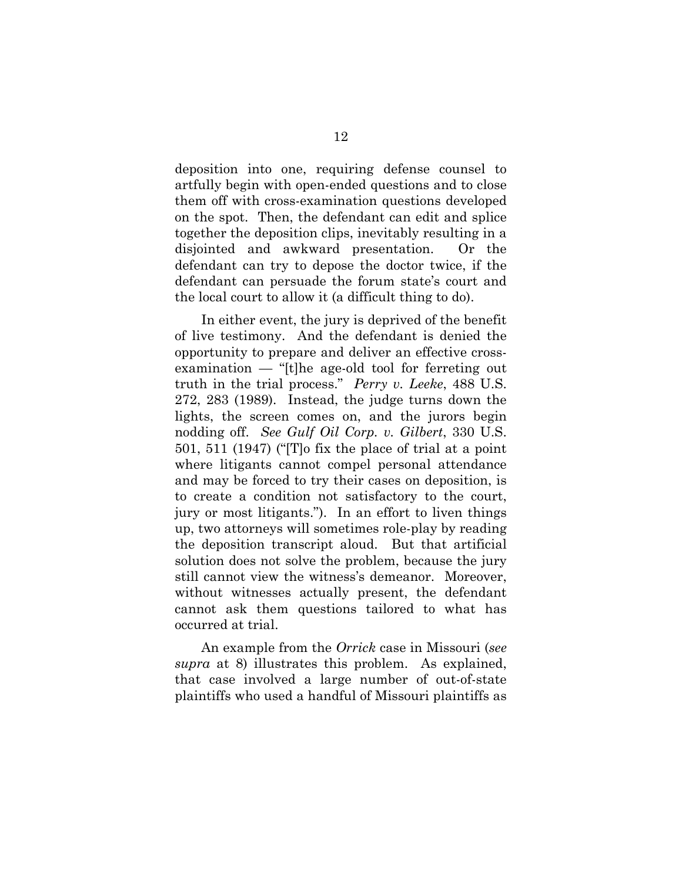deposition into one, requiring defense counsel to artfully begin with open-ended questions and to close them off with cross-examination questions developed on the spot. Then, the defendant can edit and splice together the deposition clips, inevitably resulting in a disjointed and awkward presentation. Or the defendant can try to depose the doctor twice, if the defendant can persuade the forum state's court and the local court to allow it (a difficult thing to do).

In either event, the jury is deprived of the benefit of live testimony. And the defendant is denied the opportunity to prepare and deliver an effective crossexamination — "[t]he age-old tool for ferreting out truth in the trial process." *Perry v. Leeke*, 488 U.S. 272, 283 (1989). Instead, the judge turns down the lights, the screen comes on, and the jurors begin nodding off. *See Gulf Oil Corp. v. Gilbert*, 330 U.S. 501, 511 (1947) ("[T]o fix the place of trial at a point where litigants cannot compel personal attendance and may be forced to try their cases on deposition, is to create a condition not satisfactory to the court, jury or most litigants."). In an effort to liven things up, two attorneys will sometimes role-play by reading the deposition transcript aloud. But that artificial solution does not solve the problem, because the jury still cannot view the witness's demeanor. Moreover, without witnesses actually present, the defendant cannot ask them questions tailored to what has occurred at trial.

An example from the *Orrick* case in Missouri (*see supra* at 8) illustrates this problem. As explained, that case involved a large number of out-of-state plaintiffs who used a handful of Missouri plaintiffs as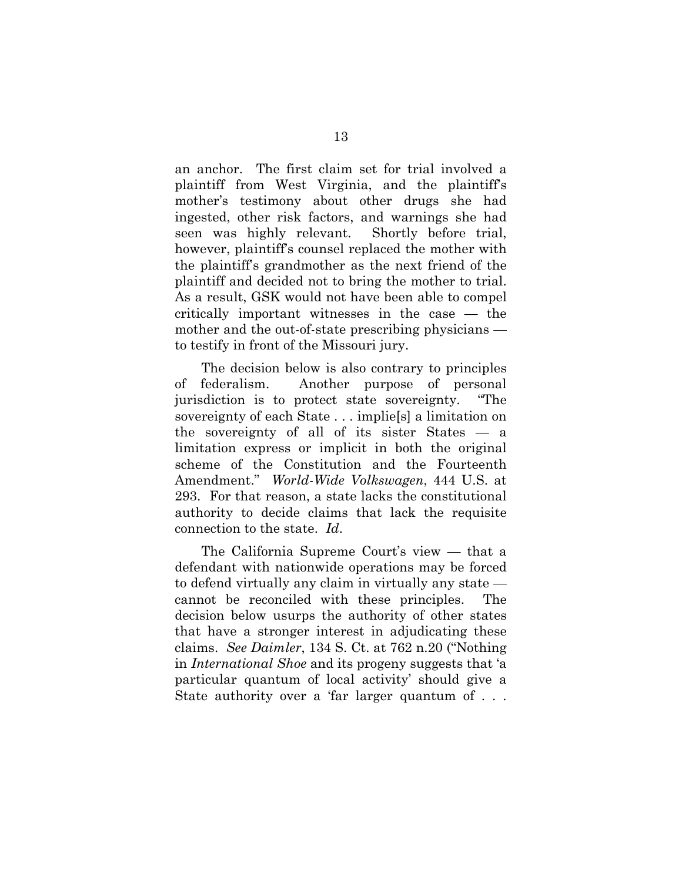an anchor. The first claim set for trial involved a plaintiff from West Virginia, and the plaintiff's mother's testimony about other drugs she had ingested, other risk factors, and warnings she had seen was highly relevant. Shortly before trial, however, plaintiff's counsel replaced the mother with the plaintiff's grandmother as the next friend of the plaintiff and decided not to bring the mother to trial. As a result, GSK would not have been able to compel critically important witnesses in the case — the mother and the out-of-state prescribing physicians to testify in front of the Missouri jury.

The decision below is also contrary to principles of federalism. Another purpose of personal jurisdiction is to protect state sovereignty. "The sovereignty of each State . . . implie[s] a limitation on the sovereignty of all of its sister States — a limitation express or implicit in both the original scheme of the Constitution and the Fourteenth Amendment." *World-Wide Volkswagen*, 444 U.S. at 293.For that reason, a state lacks the constitutional authority to decide claims that lack the requisite connection to the state. *Id*.

The California Supreme Court's view — that a defendant with nationwide operations may be forced to defend virtually any claim in virtually any state cannot be reconciled with these principles. The decision below usurps the authority of other states that have a stronger interest in adjudicating these claims. *See Daimler*, 134 S. Ct. at 762 n.20 ("Nothing in *International Shoe* and its progeny suggests that 'a particular quantum of local activity' should give a State authority over a 'far larger quantum of . . .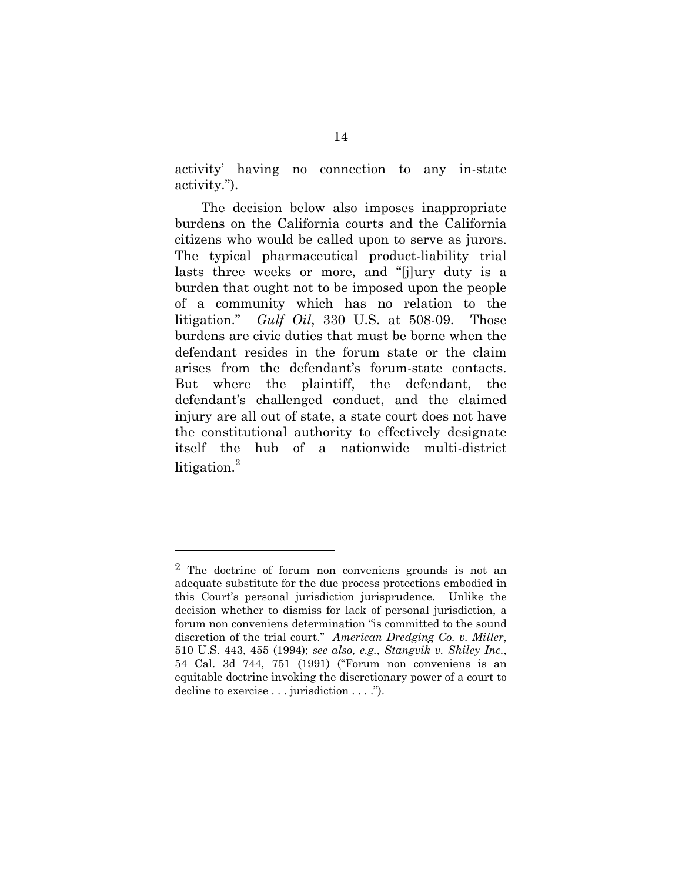activity' having no connection to any in-state activity.").

The decision below also imposes inappropriate burdens on the California courts and the California citizens who would be called upon to serve as jurors. The typical pharmaceutical product-liability trial lasts three weeks or more, and "[j]ury duty is a burden that ought not to be imposed upon the people of a community which has no relation to the litigation." *Gulf Oil*, 330 U.S. at 508-09. Those burdens are civic duties that must be borne when the defendant resides in the forum state or the claim arises from the defendant's forum-state contacts. But where the plaintiff, the defendant, the defendant's challenged conduct, and the claimed injury are all out of state, a state court does not have the constitutional authority to effectively designate itself the hub of a nationwide multi-district litigation.<sup>2</sup>

1

<sup>2</sup> The doctrine of forum non conveniens grounds is not an adequate substitute for the due process protections embodied in this Court's personal jurisdiction jurisprudence. Unlike the decision whether to dismiss for lack of personal jurisdiction, a forum non conveniens determination "is committed to the sound discretion of the trial court." *American Dredging Co. v. Miller*, 510 U.S. 443, 455 (1994); *see also, e.g.*, *Stangvik v. Shiley Inc.*, 54 Cal. 3d 744, 751 (1991) ("Forum non conveniens is an equitable doctrine invoking the discretionary power of a court to decline to exercise . . . jurisdiction . . . .").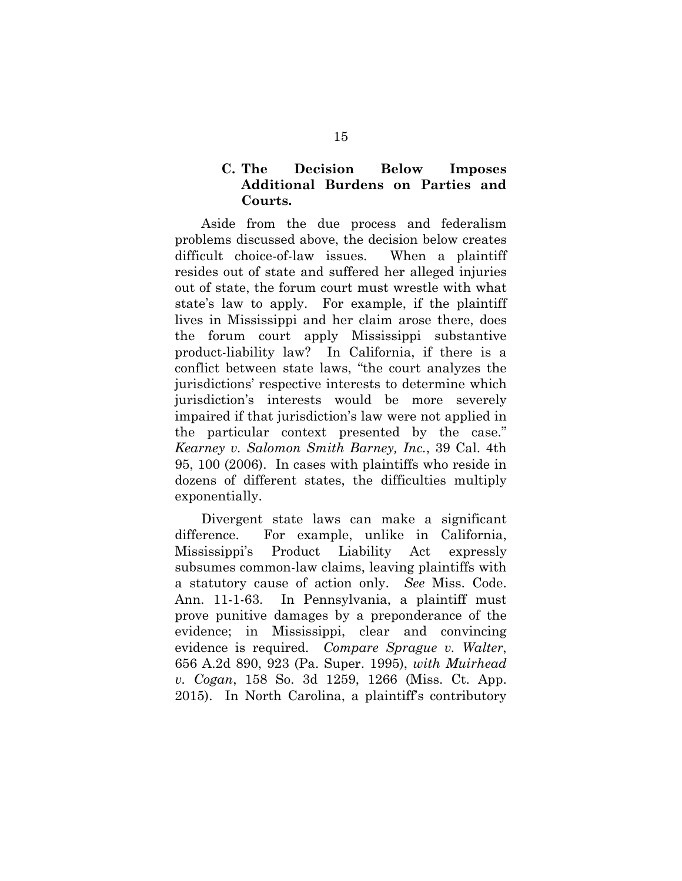## **C. The Decision Below Imposes Additional Burdens on Parties and Courts.**

Aside from the due process and federalism problems discussed above, the decision below creates difficult choice-of-law issues. When a plaintiff resides out of state and suffered her alleged injuries out of state, the forum court must wrestle with what state's law to apply. For example, if the plaintiff lives in Mississippi and her claim arose there, does the forum court apply Mississippi substantive product-liability law? In California, if there is a conflict between state laws, "the court analyzes the jurisdictions' respective interests to determine which jurisdiction's interests would be more severely impaired if that jurisdiction's law were not applied in the particular context presented by the case." *Kearney v. Salomon Smith Barney, Inc.*, 39 Cal. 4th 95, 100 (2006). In cases with plaintiffs who reside in dozens of different states, the difficulties multiply exponentially.

Divergent state laws can make a significant difference. For example, unlike in California, Mississippi's Product Liability Act expressly subsumes common-law claims, leaving plaintiffs with a statutory cause of action only. *See* Miss. Code. Ann. 11-1-63. In Pennsylvania, a plaintiff must prove punitive damages by a preponderance of the evidence; in Mississippi, clear and convincing evidence is required. *Compare Sprague v. Walter*, 656 A.2d 890, 923 (Pa. Super. 1995), *with Muirhead v. Cogan*, 158 So. 3d 1259, 1266 (Miss. Ct. App. 2015). In North Carolina, a plaintiff's contributory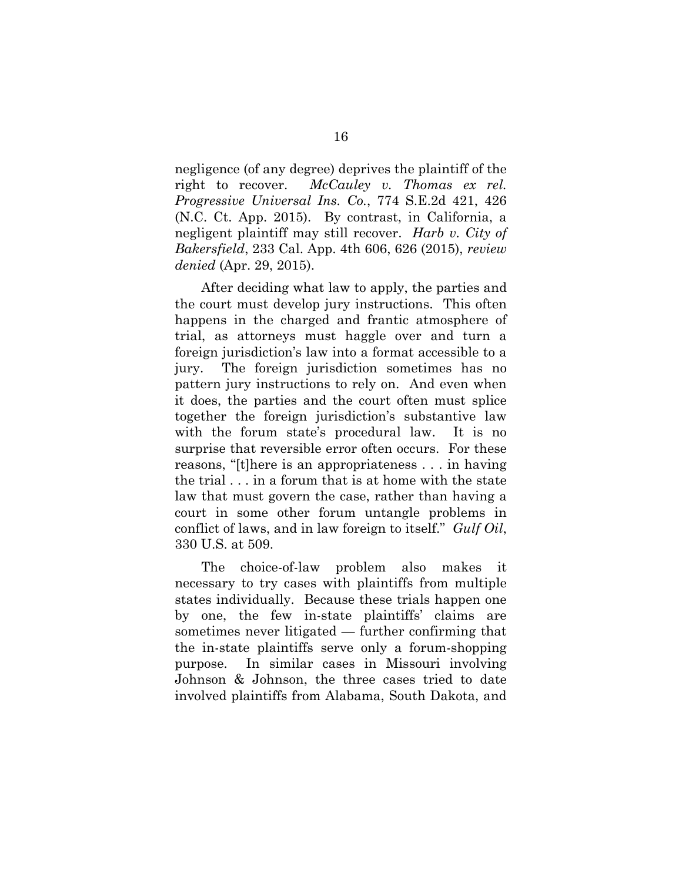negligence (of any degree) deprives the plaintiff of the right to recover. *McCauley v. Thomas ex rel. Progressive Universal Ins. Co.*, 774 S.E.2d 421, 426 (N.C. Ct. App. 2015). By contrast, in California, a negligent plaintiff may still recover. *Harb v. City of Bakersfield*, 233 Cal. App. 4th 606, 626 (2015), *review denied* (Apr. 29, 2015).

After deciding what law to apply, the parties and the court must develop jury instructions. This often happens in the charged and frantic atmosphere of trial, as attorneys must haggle over and turn a foreign jurisdiction's law into a format accessible to a jury. The foreign jurisdiction sometimes has no pattern jury instructions to rely on. And even when it does, the parties and the court often must splice together the foreign jurisdiction's substantive law with the forum state's procedural law. It is no surprise that reversible error often occurs. For these reasons, "[t]here is an appropriateness . . . in having the trial . . . in a forum that is at home with the state law that must govern the case, rather than having a court in some other forum untangle problems in conflict of laws, and in law foreign to itself." *Gulf Oil*, 330 U.S. at 509.

The choice-of-law problem also makes it necessary to try cases with plaintiffs from multiple states individually. Because these trials happen one by one, the few in-state plaintiffs' claims are sometimes never litigated — further confirming that the in-state plaintiffs serve only a forum-shopping purpose. In similar cases in Missouri involving Johnson & Johnson, the three cases tried to date involved plaintiffs from Alabama, South Dakota, and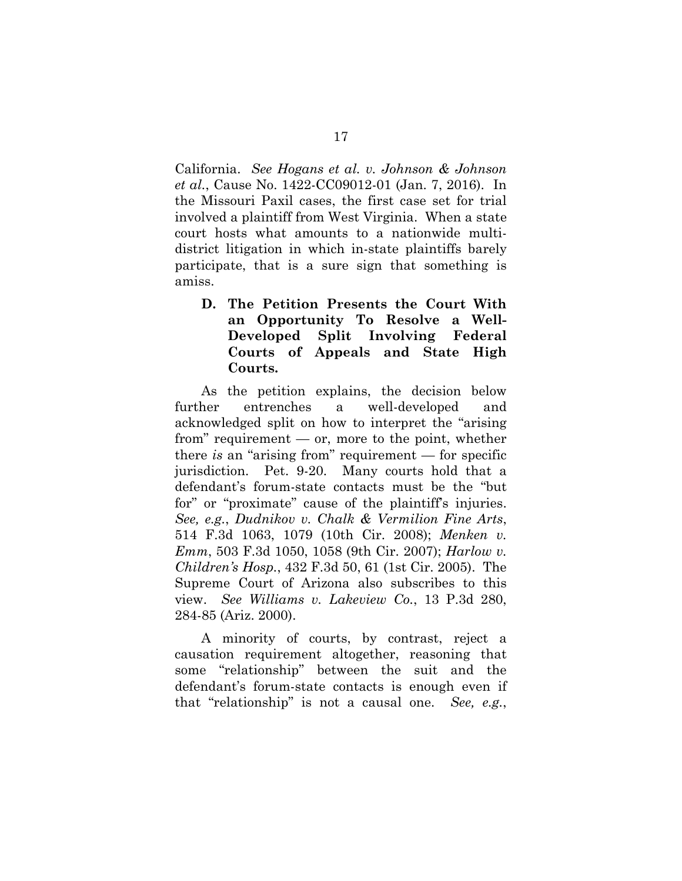California. *See Hogans et al. v. Johnson & Johnson et al.*, Cause No. 1422-CC09012-01 (Jan. 7, 2016). In the Missouri Paxil cases, the first case set for trial involved a plaintiff from West Virginia. When a state court hosts what amounts to a nationwide multidistrict litigation in which in-state plaintiffs barely participate, that is a sure sign that something is amiss.

**D. The Petition Presents the Court With an Opportunity To Resolve a Well-Developed Split Involving Federal Courts of Appeals and State High Courts.** 

As the petition explains, the decision below further entrenches a well-developed and acknowledged split on how to interpret the "arising from" requirement — or, more to the point, whether there *is* an "arising from" requirement — for specific jurisdiction. Pet. 9-20. Many courts hold that a defendant's forum-state contacts must be the "but for" or "proximate" cause of the plaintiff's injuries. *See, e.g.*, *Dudnikov v. Chalk & Vermilion Fine Arts*, 514 F.3d 1063, 1079 (10th Cir. 2008); *Menken v. Emm*, 503 F.3d 1050, 1058 (9th Cir. 2007); *Harlow v. Children's Hosp.*, 432 F.3d 50, 61 (1st Cir. 2005). The Supreme Court of Arizona also subscribes to this view. *See Williams v. Lakeview Co.*, 13 P.3d 280, 284-85 (Ariz. 2000).

A minority of courts, by contrast, reject a causation requirement altogether, reasoning that some "relationship" between the suit and the defendant's forum-state contacts is enough even if that "relationship" is not a causal one. *See, e.g.*,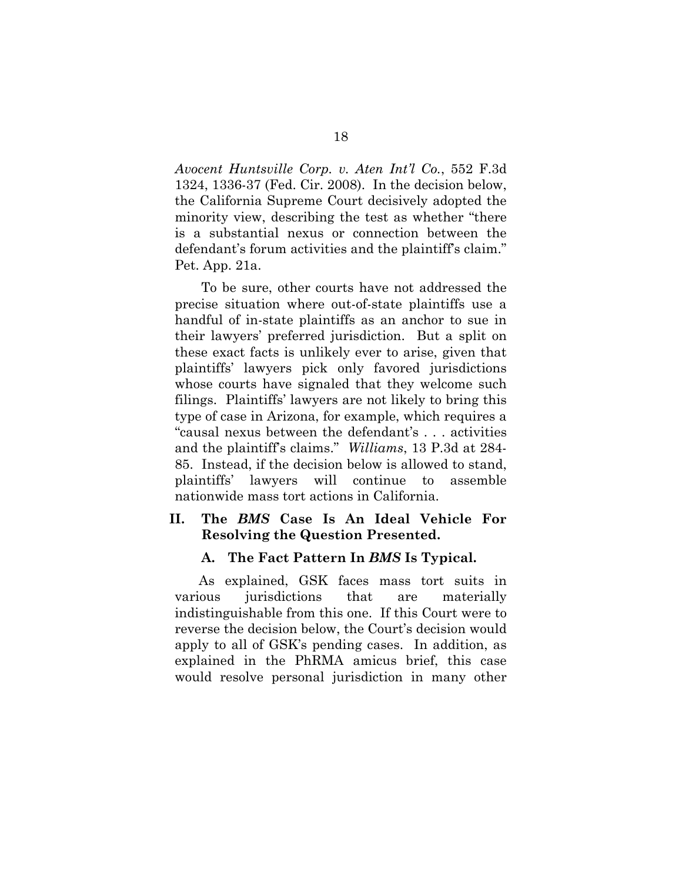*Avocent Huntsville Corp. v. Aten Int'l Co.*, 552 F.3d 1324, 1336-37 (Fed. Cir. 2008). In the decision below, the California Supreme Court decisively adopted the minority view, describing the test as whether "there is a substantial nexus or connection between the defendant's forum activities and the plaintiff's claim." Pet. App. 21a.

To be sure, other courts have not addressed the precise situation where out-of-state plaintiffs use a handful of in-state plaintiffs as an anchor to sue in their lawyers' preferred jurisdiction. But a split on these exact facts is unlikely ever to arise, given that plaintiffs' lawyers pick only favored jurisdictions whose courts have signaled that they welcome such filings. Plaintiffs' lawyers are not likely to bring this type of case in Arizona, for example, which requires a "causal nexus between the defendant's . . . activities and the plaintiff's claims." *Williams*, 13 P.3d at 284- 85. Instead, if the decision below is allowed to stand, plaintiffs' lawyers will continue to assemble nationwide mass tort actions in California.

## **II. The** *BMS* **Case Is An Ideal Vehicle For Resolving the Question Presented.**

#### **A. The Fact Pattern In** *BMS* **Is Typical.**

As explained, GSK faces mass tort suits in various jurisdictions that are materially indistinguishable from this one. If this Court were to reverse the decision below, the Court's decision would apply to all of GSK's pending cases. In addition, as explained in the PhRMA amicus brief, this case would resolve personal jurisdiction in many other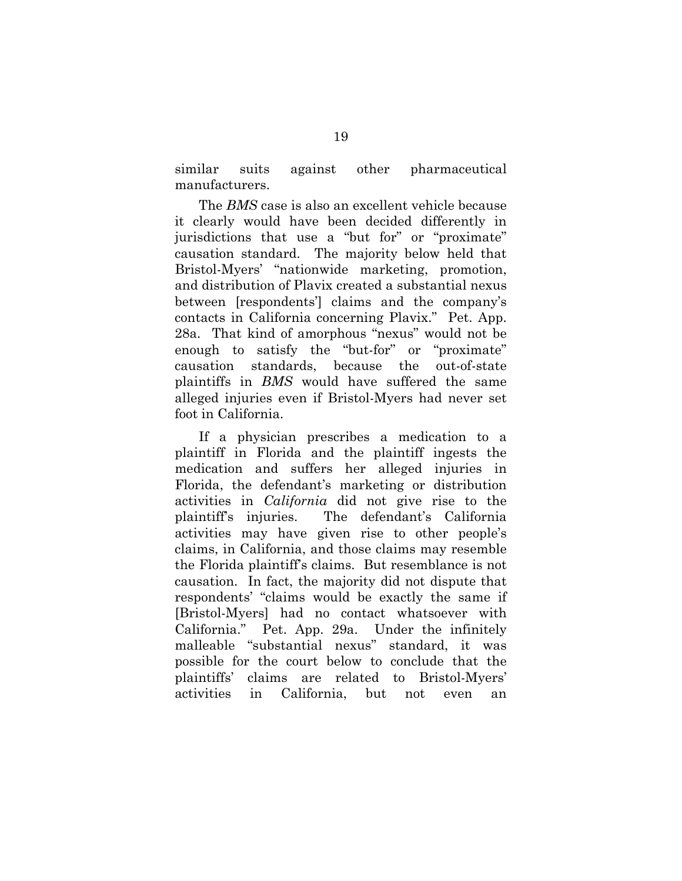similar suits against other pharmaceutical manufacturers.

The *BMS* case is also an excellent vehicle because it clearly would have been decided differently in jurisdictions that use a "but for" or "proximate" causation standard. The majority below held that Bristol-Myers' "nationwide marketing, promotion, and distribution of Plavix created a substantial nexus between [respondents'] claims and the company's contacts in California concerning Plavix." Pet. App. 28a. That kind of amorphous "nexus" would not be enough to satisfy the "but-for" or "proximate" causation standards, because the out-of-state plaintiffs in *BMS* would have suffered the same alleged injuries even if Bristol-Myers had never set foot in California.

If a physician prescribes a medication to a plaintiff in Florida and the plaintiff ingests the medication and suffers her alleged injuries in Florida, the defendant's marketing or distribution activities in *California* did not give rise to the plaintiff's injuries. The defendant's California activities may have given rise to other people's claims, in California, and those claims may resemble the Florida plaintiff's claims. But resemblance is not causation. In fact, the majority did not dispute that respondents' "claims would be exactly the same if [Bristol-Myers] had no contact whatsoever with California." Pet. App. 29a. Under the infinitely malleable "substantial nexus" standard, it was possible for the court below to conclude that the plaintiffs' claims are related to Bristol-Myers' activities in California, but not even an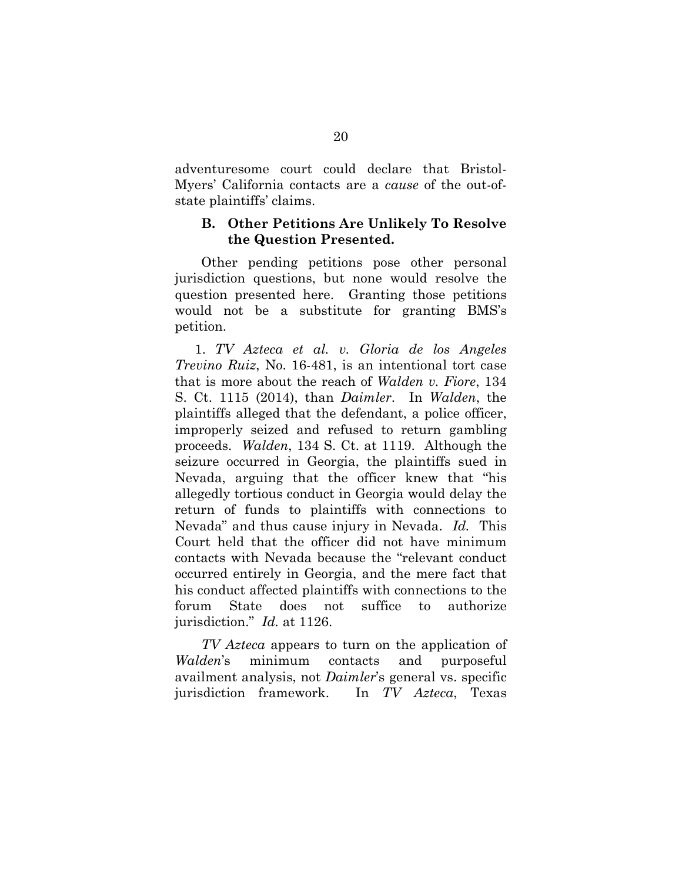adventuresome court could declare that Bristol-Myers' California contacts are a *cause* of the out-ofstate plaintiffs' claims.

## **B. Other Petitions Are Unlikely To Resolve the Question Presented.**

Other pending petitions pose other personal jurisdiction questions, but none would resolve the question presented here. Granting those petitions would not be a substitute for granting BMS's petition.

1. *TV Azteca et al. v. Gloria de los Angeles Trevino Ruiz*, No. 16-481, is an intentional tort case that is more about the reach of *Walden v. Fiore*, 134 S. Ct. 1115 (2014), than *Daimler*. In *Walden*, the plaintiffs alleged that the defendant, a police officer, improperly seized and refused to return gambling proceeds. *Walden*, 134 S. Ct. at 1119. Although the seizure occurred in Georgia, the plaintiffs sued in Nevada, arguing that the officer knew that "his allegedly tortious conduct in Georgia would delay the return of funds to plaintiffs with connections to Nevada" and thus cause injury in Nevada. *Id.* This Court held that the officer did not have minimum contacts with Nevada because the "relevant conduct occurred entirely in Georgia, and the mere fact that his conduct affected plaintiffs with connections to the forum State does not suffice to authorize jurisdiction." *Id.* at 1126.

*TV Azteca* appears to turn on the application of *Walden*'s minimum contacts and purposeful availment analysis, not *Daimler*'s general vs. specific jurisdiction framework. In *TV Azteca*, Texas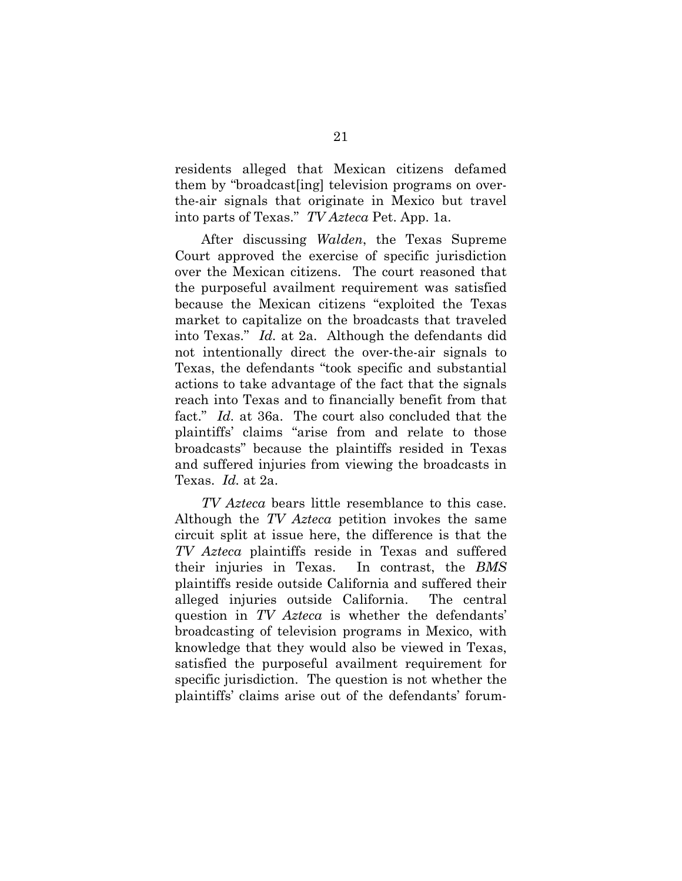residents alleged that Mexican citizens defamed them by "broadcast[ing] television programs on overthe-air signals that originate in Mexico but travel into parts of Texas." *TV Azteca* Pet. App. 1a.

After discussing *Walden*, the Texas Supreme Court approved the exercise of specific jurisdiction over the Mexican citizens. The court reasoned that the purposeful availment requirement was satisfied because the Mexican citizens "exploited the Texas market to capitalize on the broadcasts that traveled into Texas." *Id.* at 2a. Although the defendants did not intentionally direct the over-the-air signals to Texas, the defendants "took specific and substantial actions to take advantage of the fact that the signals reach into Texas and to financially benefit from that fact." *Id.* at 36a. The court also concluded that the plaintiffs' claims "arise from and relate to those broadcasts" because the plaintiffs resided in Texas and suffered injuries from viewing the broadcasts in Texas. *Id.* at 2a.

*TV Azteca* bears little resemblance to this case. Although the *TV Azteca* petition invokes the same circuit split at issue here, the difference is that the *TV Azteca* plaintiffs reside in Texas and suffered their injuries in Texas. In contrast, the *BMS*  plaintiffs reside outside California and suffered their alleged injuries outside California. The central question in *TV Azteca* is whether the defendants' broadcasting of television programs in Mexico, with knowledge that they would also be viewed in Texas, satisfied the purposeful availment requirement for specific jurisdiction. The question is not whether the plaintiffs' claims arise out of the defendants' forum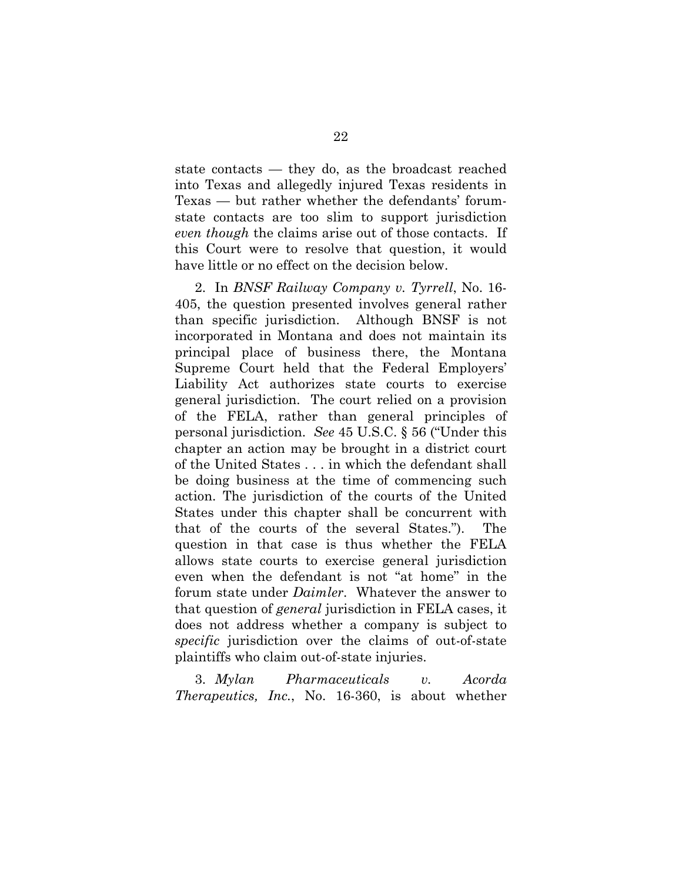state contacts — they do, as the broadcast reached into Texas and allegedly injured Texas residents in Texas — but rather whether the defendants' forumstate contacts are too slim to support jurisdiction *even though* the claims arise out of those contacts. If this Court were to resolve that question, it would have little or no effect on the decision below.

2. In *BNSF Railway Company v. Tyrrell*, No. 16- 405, the question presented involves general rather than specific jurisdiction. Although BNSF is not incorporated in Montana and does not maintain its principal place of business there, the Montana Supreme Court held that the Federal Employers' Liability Act authorizes state courts to exercise general jurisdiction. The court relied on a provision of the FELA, rather than general principles of personal jurisdiction. *See* 45 U.S.C. § 56 ("Under this chapter an action may be brought in a district court of the United States . . . in which the defendant shall be doing business at the time of commencing such action. The jurisdiction of the courts of the United States under this chapter shall be concurrent with that of the courts of the several States."). The question in that case is thus whether the FELA allows state courts to exercise general jurisdiction even when the defendant is not "at home" in the forum state under *Daimler*. Whatever the answer to that question of *general* jurisdiction in FELA cases, it does not address whether a company is subject to *specific* jurisdiction over the claims of out-of-state plaintiffs who claim out-of-state injuries.

3. *Mylan Pharmaceuticals v. Acorda Therapeutics, Inc.*, No. 16-360, is about whether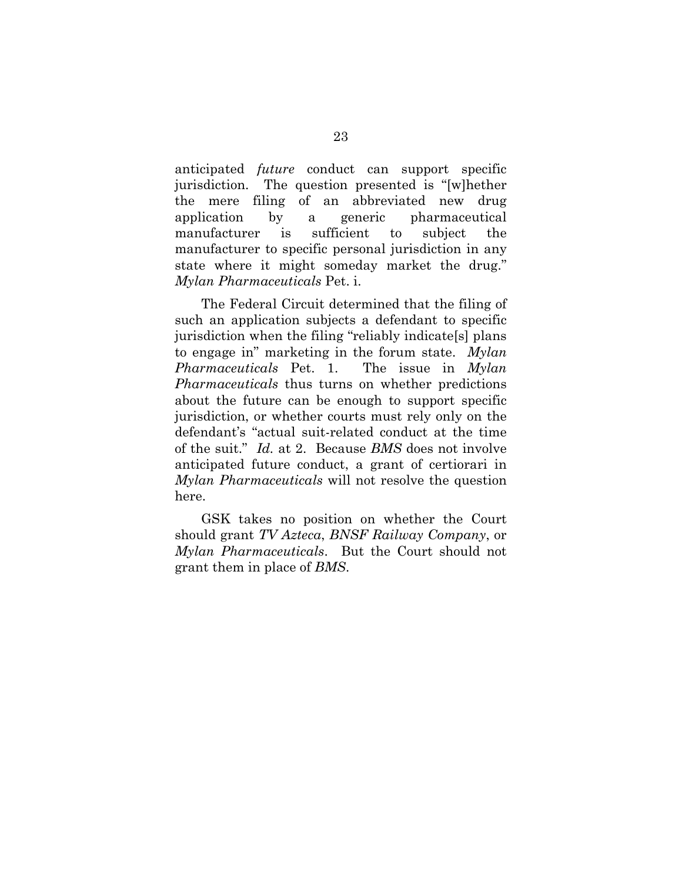anticipated *future* conduct can support specific jurisdiction. The question presented is "[w]hether the mere filing of an abbreviated new drug application by a generic pharmaceutical manufacturer is sufficient to subject the manufacturer to specific personal jurisdiction in any state where it might someday market the drug." *Mylan Pharmaceuticals* Pet. i.

The Federal Circuit determined that the filing of such an application subjects a defendant to specific jurisdiction when the filing "reliably indicate[s] plans to engage in" marketing in the forum state. *Mylan Pharmaceuticals* Pet. 1. The issue in *Mylan Pharmaceuticals* thus turns on whether predictions about the future can be enough to support specific jurisdiction, or whether courts must rely only on the defendant's "actual suit-related conduct at the time of the suit." *Id.* at 2. Because *BMS* does not involve anticipated future conduct, a grant of certiorari in *Mylan Pharmaceuticals* will not resolve the question here.

GSK takes no position on whether the Court should grant *TV Azteca*, *BNSF Railway Company*, or *Mylan Pharmaceuticals*. But the Court should not grant them in place of *BMS*.